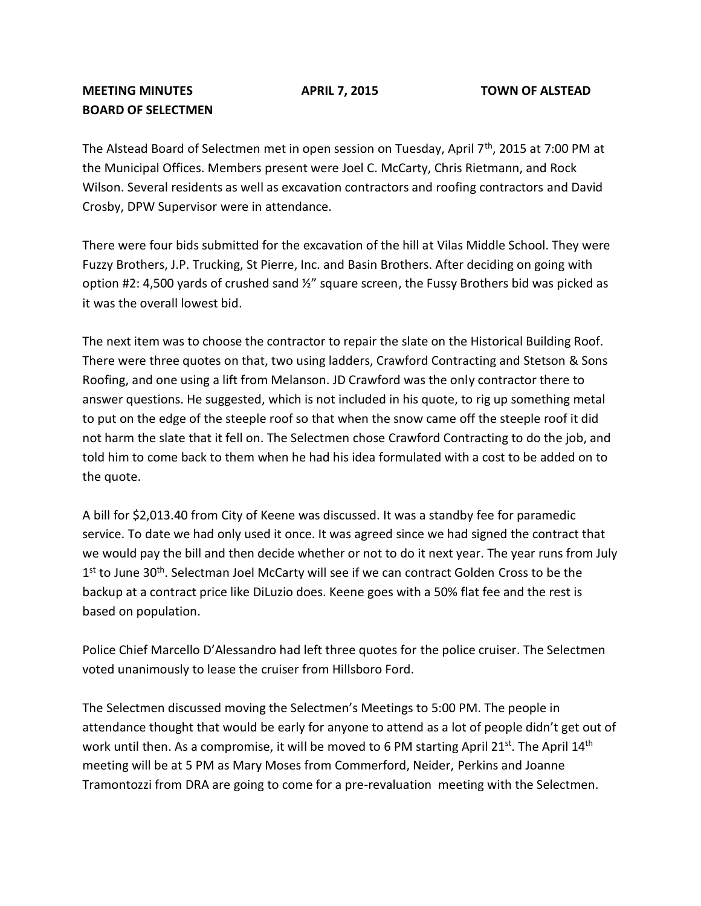## **MEETING MINUTES APRIL 7, 2015 TOWN OF ALSTEAD BOARD OF SELECTMEN**

The Alstead Board of Selectmen met in open session on Tuesday, April 7<sup>th</sup>, 2015 at 7:00 PM at the Municipal Offices. Members present were Joel C. McCarty, Chris Rietmann, and Rock Wilson. Several residents as well as excavation contractors and roofing contractors and David Crosby, DPW Supervisor were in attendance.

There were four bids submitted for the excavation of the hill at Vilas Middle School. They were Fuzzy Brothers, J.P. Trucking, St Pierre, Inc. and Basin Brothers. After deciding on going with option #2: 4,500 yards of crushed sand ½" square screen, the Fussy Brothers bid was picked as it was the overall lowest bid.

The next item was to choose the contractor to repair the slate on the Historical Building Roof. There were three quotes on that, two using ladders, Crawford Contracting and Stetson & Sons Roofing, and one using a lift from Melanson. JD Crawford was the only contractor there to answer questions. He suggested, which is not included in his quote, to rig up something metal to put on the edge of the steeple roof so that when the snow came off the steeple roof it did not harm the slate that it fell on. The Selectmen chose Crawford Contracting to do the job, and told him to come back to them when he had his idea formulated with a cost to be added on to the quote.

A bill for \$2,013.40 from City of Keene was discussed. It was a standby fee for paramedic service. To date we had only used it once. It was agreed since we had signed the contract that we would pay the bill and then decide whether or not to do it next year. The year runs from July 1<sup>st</sup> to June 30<sup>th</sup>. Selectman Joel McCarty will see if we can contract Golden Cross to be the backup at a contract price like DiLuzio does. Keene goes with a 50% flat fee and the rest is based on population.

Police Chief Marcello D'Alessandro had left three quotes for the police cruiser. The Selectmen voted unanimously to lease the cruiser from Hillsboro Ford.

The Selectmen discussed moving the Selectmen's Meetings to 5:00 PM. The people in attendance thought that would be early for anyone to attend as a lot of people didn't get out of work until then. As a compromise, it will be moved to 6 PM starting April 21st. The April 14<sup>th</sup> meeting will be at 5 PM as Mary Moses from Commerford, Neider, Perkins and Joanne Tramontozzi from DRA are going to come for a pre-revaluation meeting with the Selectmen.